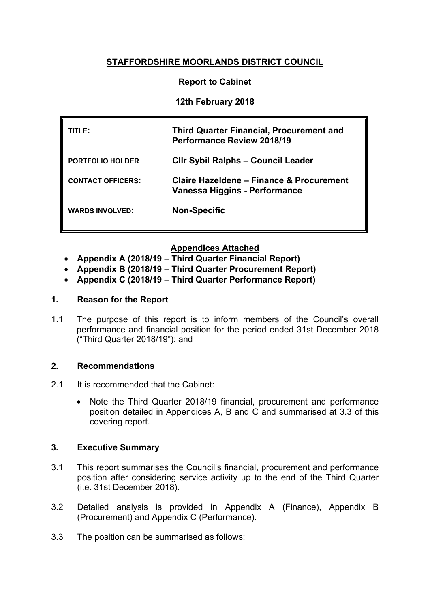# **STAFFORDSHIRE MOORLANDS DISTRICT COUNCIL**

## **Report to Cabinet**

## **12th February 2018**

| TITLE:                   | <b>Third Quarter Financial, Procurement and</b><br><b>Performance Review 2018/19</b> |
|--------------------------|--------------------------------------------------------------------------------------|
| <b>PORTFOLIO HOLDER</b>  | <b>CIIr Sybil Ralphs - Council Leader</b>                                            |
| <b>CONTACT OFFICERS:</b> | Claire Hazeldene – Finance & Procurement<br>Vanessa Higgins - Performance            |
| <b>WARDS INVOLVED:</b>   | <b>Non-Specific</b>                                                                  |

## **Appendices Attached**

- **Appendix A (2018/19 – Third Quarter Financial Report)**
- **Appendix B (2018/19 – Third Quarter Procurement Report)**
- **Appendix C (2018/19 – Third Quarter Performance Report)**

## **1. Reason for the Report**

1.1 The purpose of this report is to inform members of the Council's overall performance and financial position for the period ended 31st December 2018 ("Third Quarter 2018/19"); and

## **2. Recommendations**

- 2.1 It is recommended that the Cabinet:
	- Note the Third Quarter 2018/19 financial, procurement and performance position detailed in Appendices A, B and C and summarised at 3.3 of this covering report.

## **3. Executive Summary**

- 3.1 This report summarises the Council's financial, procurement and performance position after considering service activity up to the end of the Third Quarter (i.e. 31st December 2018).
- 3.2 Detailed analysis is provided in Appendix A (Finance), Appendix B (Procurement) and Appendix C (Performance).
- 3.3 The position can be summarised as follows: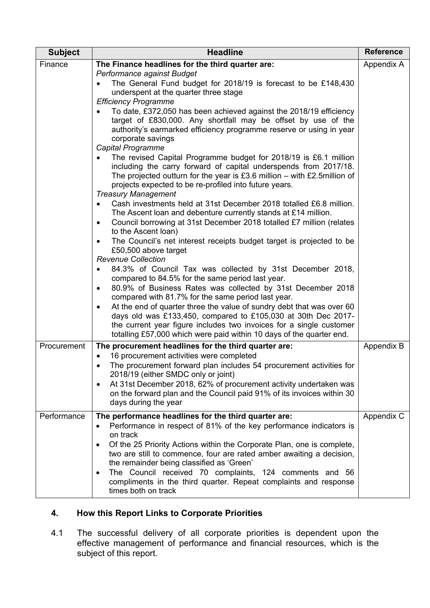| <b>Subject</b> | <b>Headline</b>                                                                                                                                                                                                                                                                                                                                                                                                                                                                                                                                       | <b>Reference</b> |
|----------------|-------------------------------------------------------------------------------------------------------------------------------------------------------------------------------------------------------------------------------------------------------------------------------------------------------------------------------------------------------------------------------------------------------------------------------------------------------------------------------------------------------------------------------------------------------|------------------|
| Finance        | The Finance headlines for the third quarter are:                                                                                                                                                                                                                                                                                                                                                                                                                                                                                                      | Appendix A       |
|                | Performance against Budget<br>The General Fund budget for 2018/19 is forecast to be £148,430<br>underspent at the quarter three stage<br><b>Efficiency Programme</b>                                                                                                                                                                                                                                                                                                                                                                                  |                  |
|                | To date, £372,050 has been achieved against the 2018/19 efficiency<br>target of £830,000. Any shortfall may be offset by use of the<br>authority's earmarked efficiency programme reserve or using in year<br>corporate savings<br>Capital Programme                                                                                                                                                                                                                                                                                                  |                  |
|                | The revised Capital Programme budget for 2018/19 is £6.1 million<br>including the carry forward of capital underspends from 2017/18.<br>The projected outturn for the year is £3.6 million – with £2.5 million of<br>projects expected to be re-profiled into future years.<br><b>Treasury Management</b>                                                                                                                                                                                                                                             |                  |
|                | Cash investments held at 31st December 2018 totalled £6.8 million.<br>The Ascent loan and debenture currently stands at £14 million.<br>Council borrowing at 31st December 2018 totalled £7 million (relates<br>$\bullet$<br>to the Ascent loan)                                                                                                                                                                                                                                                                                                      |                  |
|                | The Council's net interest receipts budget target is projected to be<br>£50,500 above target<br><b>Revenue Collection</b>                                                                                                                                                                                                                                                                                                                                                                                                                             |                  |
|                | 84.3% of Council Tax was collected by 31st December 2018,<br>compared to 84.5% for the same period last year.<br>80.9% of Business Rates was collected by 31st December 2018<br>$\bullet$<br>compared with 81.7% for the same period last year.<br>At the end of quarter three the value of sundry debt that was over 60<br>$\bullet$<br>days old was £133,450, compared to £105,030 at 30th Dec 2017-<br>the current year figure includes two invoices for a single customer<br>totalling £57,000 which were paid within 10 days of the quarter end. |                  |
| Procurement    | The procurement headlines for the third quarter are:<br>16 procurement activities were completed<br>$\bullet$<br>The procurement forward plan includes 54 procurement activities for<br>$\bullet$<br>2018/19 (either SMDC only or joint)<br>At 31st December 2018, 62% of procurement activity undertaken was<br>$\bullet$<br>on the forward plan and the Council paid 91% of its invoices within 30<br>days during the year                                                                                                                          | Appendix B       |
| Performance    | The performance headlines for the third quarter are:<br>Performance in respect of 81% of the key performance indicators is<br>$\bullet$<br>on track<br>Of the 25 Priority Actions within the Corporate Plan, one is complete,<br>$\bullet$<br>two are still to commence, four are rated amber awaiting a decision,<br>the remainder being classified as 'Green'<br>The Council received 70 complaints, 124 comments and 56<br>$\bullet$<br>compliments in the third quarter. Repeat complaints and response<br>times both on track                    | Appendix C       |

# **4. How this Report Links to Corporate Priorities**

4.1 The successful delivery of all corporate priorities is dependent upon the effective management of performance and financial resources, which is the subject of this report.